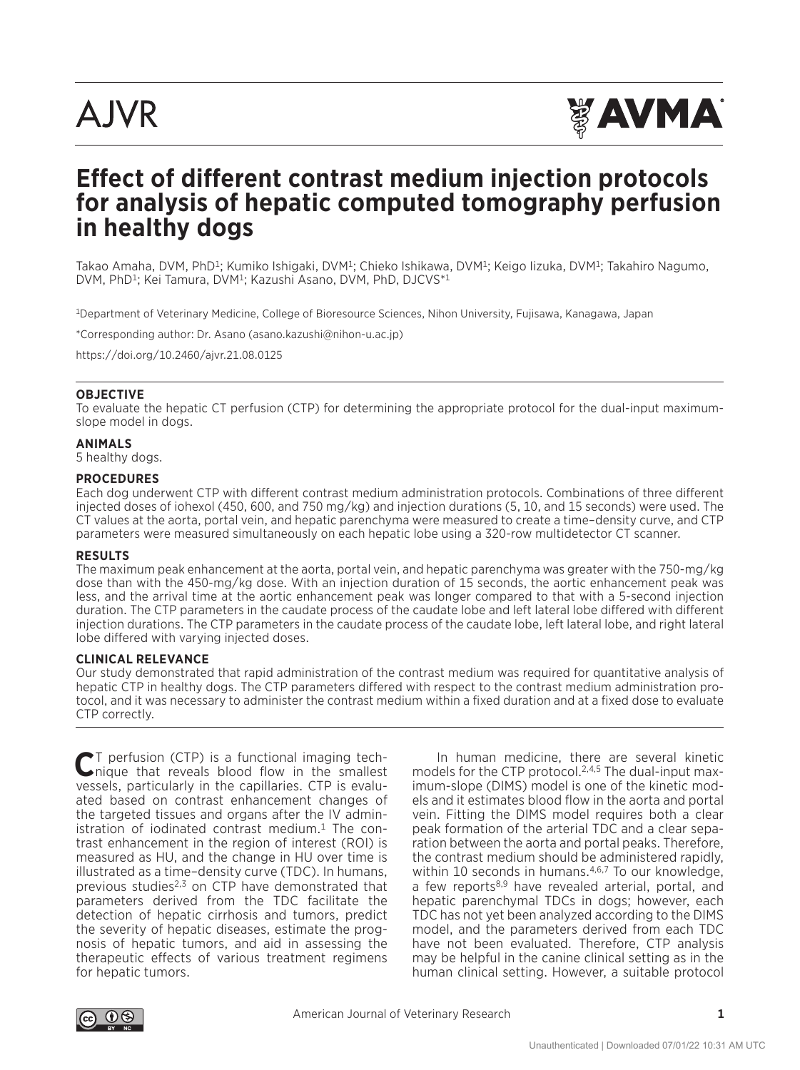# **AJVR**



# **Effect of different contrast medium injection protocols for analysis of hepatic computed tomography perfusion in healthy dogs**

Takao Amaha, DVM, PhD<sup>1</sup>; Kumiko Ishigaki, DVM<sup>1</sup>; Chieko Ishikawa, DVM<sup>1</sup>; Keigo Iizuka, DVM<sup>1</sup>; Takahiro Nagumo, DVM, PhD1; Kei Tamura, DVM1; Kazushi Asano, DVM, PhD, DJCVS\*1

<sup>1</sup>Department of Veterinary Medicine, College of Bioresource Sciences, Nihon University, Fujisawa, Kanagawa, Japan

\*Corresponding author: Dr. Asano (asano.kazushi@nihon-u.ac.jp)

https://doi.org/10.2460/ajvr.21.08.0125

#### **OBJECTIVE**

To evaluate the hepatic CT perfusion (CTP) for determining the appropriate protocol for the dual-input maximumslope model in dogs.

#### **ANIMALS**

5 healthy dogs.

#### **PROCEDURES**

Each dog underwent CTP with different contrast medium administration protocols. Combinations of three different injected doses of iohexol (450, 600, and 750 mg/kg) and injection durations (5, 10, and 15 seconds) were used. The CT values at the aorta, portal vein, and hepatic parenchyma were measured to create a time–density curve, and CTP parameters were measured simultaneously on each hepatic lobe using a 320-row multidetector CT scanner.

#### **RESULTS**

The maximum peak enhancement at the aorta, portal vein, and hepatic parenchyma was greater with the 750-mg/kg dose than with the 450-mg/kg dose. With an injection duration of 15 seconds, the aortic enhancement peak was less, and the arrival time at the aortic enhancement peak was longer compared to that with a 5-second injection duration. The CTP parameters in the caudate process of the caudate lobe and left lateral lobe differed with different injection durations. The CTP parameters in the caudate process of the caudate lobe, left lateral lobe, and right lateral lobe differed with varying injected doses.

#### **CLINICAL RELEVANCE**

Our study demonstrated that rapid administration of the contrast medium was required for quantitative analysis of hepatic CTP in healthy dogs. The CTP parameters differed with respect to the contrast medium administration protocol, and it was necessary to administer the contrast medium within a fixed duration and at a fixed dose to evaluate CTP correctly.

**C**T perfusion (CTP) is a functional imaging tech-nique that reveals blood flow in the smallest vessels, particularly in the capillaries. CTP is evaluated based on contrast enhancement changes of the targeted tissues and organs after the IV administration of iodinated contrast medium.<sup>1</sup> The contrast enhancement in the region of interest (ROI) is measured as HU, and the change in HU over time is illustrated as a time–density curve (TDC). In humans, previous studies<sup>2,3</sup> on CTP have demonstrated that parameters derived from the TDC facilitate the detection of hepatic cirrhosis and tumors, predict the severity of hepatic diseases, estimate the prognosis of hepatic tumors, and aid in assessing the therapeutic effects of various treatment regimens for hepatic tumors.

In human medicine, there are several kinetic models for the CTP protocol.<sup>2,4,5</sup> The dual-input maximum-slope (DIMS) model is one of the kinetic models and it estimates blood flow in the aorta and portal vein. Fitting the DIMS model requires both a clear peak formation of the arterial TDC and a clear separation between the aorta and portal peaks. Therefore, the contrast medium should be administered rapidly, within 10 seconds in humans.<sup>4,6,7</sup> To our knowledge, a few reports<sup>8,9</sup> have revealed arterial, portal, and hepatic parenchymal TDCs in dogs; however, each TDC has not yet been analyzed according to the DIMS model, and the parameters derived from each TDC have not been evaluated. Therefore, CTP analysis may be helpful in the canine clinical setting as in the human clinical setting. However, a suitable protocol

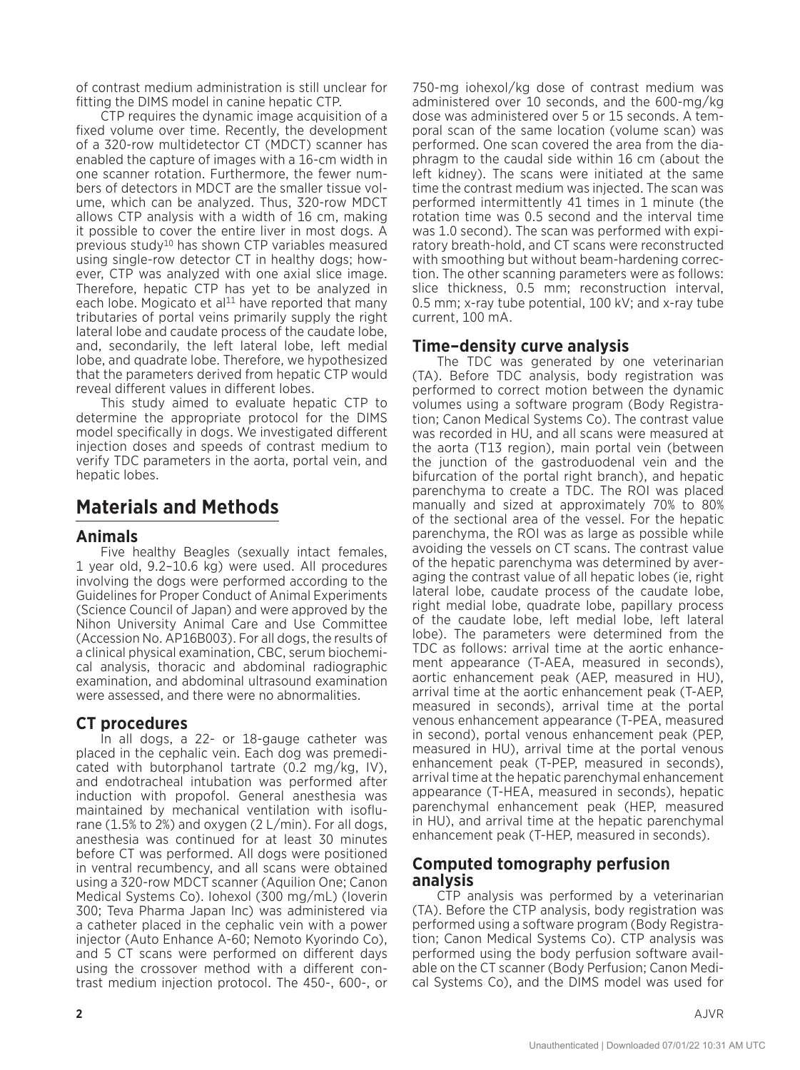of contrast medium administration is still unclear for fitting the DIMS model in canine hepatic CTP.

CTP requires the dynamic image acquisition of a fixed volume over time. Recently, the development of a 320-row multidetector CT (MDCT) scanner has enabled the capture of images with a 16-cm width in one scanner rotation. Furthermore, the fewer numbers of detectors in MDCT are the smaller tissue volume, which can be analyzed. Thus, 320-row MDCT allows CTP analysis with a width of 16 cm, making it possible to cover the entire liver in most dogs. A previous study10 has shown CTP variables measured using single-row detector CT in healthy dogs; however, CTP was analyzed with one axial slice image. Therefore, hepatic CTP has yet to be analyzed in each lobe. Mogicato et al<sup>11</sup> have reported that many tributaries of portal veins primarily supply the right lateral lobe and caudate process of the caudate lobe, and, secondarily, the left lateral lobe, left medial lobe, and quadrate lobe. Therefore, we hypothesized that the parameters derived from hepatic CTP would reveal different values in different lobes.

This study aimed to evaluate hepatic CTP to determine the appropriate protocol for the DIMS model specifically in dogs. We investigated different injection doses and speeds of contrast medium to verify TDC parameters in the aorta, portal vein, and hepatic lobes.

# **Materials and Methods**

## **Animals**

Five healthy Beagles (sexually intact females, 1 year old, 9.2–10.6 kg) were used. All procedures involving the dogs were performed according to the Guidelines for Proper Conduct of Animal Experiments (Science Council of Japan) and were approved by the Nihon University Animal Care and Use Committee (Accession No. AP16B003). For all dogs, the results of a clinical physical examination, CBC, serum biochemical analysis, thoracic and abdominal radiographic examination, and abdominal ultrasound examination were assessed, and there were no abnormalities.

## **CT procedures**

In all dogs, a 22- or 18-gauge catheter was placed in the cephalic vein. Each dog was premedicated with butorphanol tartrate (0.2 mg/kg, IV), and endotracheal intubation was performed after induction with propofol. General anesthesia was maintained by mechanical ventilation with isoflurane (1.5% to 2%) and oxygen (2  $L/min$ ). For all dogs, anesthesia was continued for at least 30 minutes before CT was performed. All dogs were positioned in ventral recumbency, and all scans were obtained using a 320-row MDCT scanner (Aquilion One; Canon Medical Systems Co). Iohexol (300 mg/mL) (Ioverin 300; Teva Pharma Japan Inc) was administered via a catheter placed in the cephalic vein with a power injector (Auto Enhance A-60; Nemoto Kyorindo Co), and 5 CT scans were performed on different days using the crossover method with a different contrast medium injection protocol. The 450-, 600-, or 750-mg iohexol/kg dose of contrast medium was administered over 10 seconds, and the 600-mg/kg dose was administered over 5 or 15 seconds. A temporal scan of the same location (volume scan) was performed. One scan covered the area from the diaphragm to the caudal side within 16 cm (about the left kidney). The scans were initiated at the same time the contrast medium was injected. The scan was performed intermittently 41 times in 1 minute (the rotation time was 0.5 second and the interval time was 1.0 second). The scan was performed with expiratory breath-hold, and CT scans were reconstructed with smoothing but without beam-hardening correction. The other scanning parameters were as follows: slice thickness, 0.5 mm; reconstruction interval, 0.5 mm; x-ray tube potential, 100 kV; and x-ray tube current, 100 mA.

## **Time–density curve analysis**

The TDC was generated by one veterinarian (TA). Before TDC analysis, body registration was performed to correct motion between the dynamic volumes using a software program (Body Registration; Canon Medical Systems Co). The contrast value was recorded in HU, and all scans were measured at the aorta (T13 region), main portal vein (between the junction of the gastroduodenal vein and the bifurcation of the portal right branch), and hepatic parenchyma to create a TDC. The ROI was placed manually and sized at approximately 70% to 80% of the sectional area of the vessel. For the hepatic parenchyma, the ROI was as large as possible while avoiding the vessels on CT scans. The contrast value of the hepatic parenchyma was determined by averaging the contrast value of all hepatic lobes (ie, right lateral lobe, caudate process of the caudate lobe, right medial lobe, quadrate lobe, papillary process of the caudate lobe, left medial lobe, left lateral lobe). The parameters were determined from the TDC as follows: arrival time at the aortic enhancement appearance (T-AEA, measured in seconds), aortic enhancement peak (AEP, measured in HU), arrival time at the aortic enhancement peak (T-AEP, measured in seconds), arrival time at the portal venous enhancement appearance (T-PEA, measured in second), portal venous enhancement peak (PEP, measured in HU), arrival time at the portal venous enhancement peak (T-PEP, measured in seconds), arrival time at the hepatic parenchymal enhancement appearance (T-HEA, measured in seconds), hepatic parenchymal enhancement peak (HEP, measured in HU), and arrival time at the hepatic parenchymal enhancement peak (T-HEP, measured in seconds).

### **Computed tomography perfusion analysis**

CTP analysis was performed by a veterinarian (TA). Before the CTP analysis, body registration was performed using a software program (Body Registration; Canon Medical Systems Co). CTP analysis was performed using the body perfusion software available on the CT scanner (Body Perfusion; Canon Medical Systems Co), and the DIMS model was used for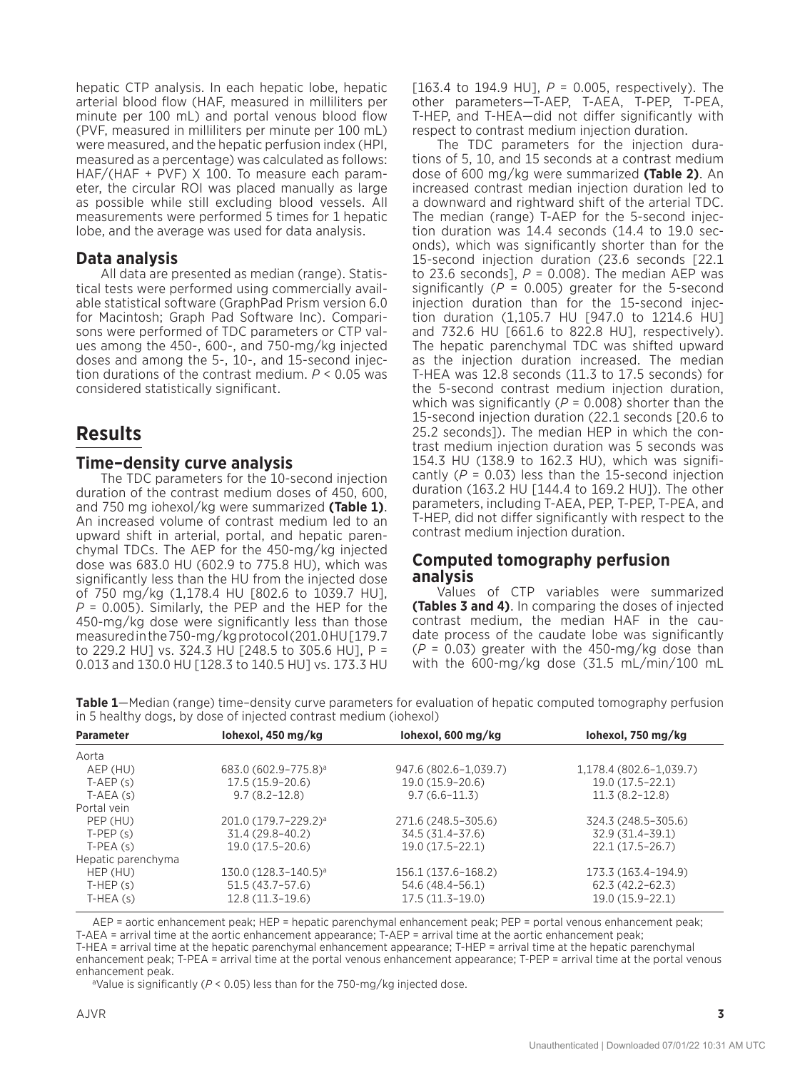hepatic CTP analysis. In each hepatic lobe, hepatic arterial blood flow (HAF, measured in milliliters per minute per 100 mL) and portal venous blood flow (PVF, measured in milliliters per minute per 100 mL) were measured, and the hepatic perfusion index (HPI, measured as a percentage) was calculated as follows: HAF/(HAF + PVF) X 100. To measure each parameter, the circular ROI was placed manually as large as possible while still excluding blood vessels. All measurements were performed 5 times for 1 hepatic lobe, and the average was used for data analysis.

### **Data analysis**

All data are presented as median (range). Statistical tests were performed using commercially available statistical software (GraphPad Prism version 6.0 for Macintosh; Graph Pad Software Inc). Comparisons were performed of TDC parameters or CTP values among the 450-, 600-, and 750-mg/kg injected doses and among the 5-, 10-, and 15-second injection durations of the contrast medium. *P* < 0.05 was considered statistically significant.

## **Results**

## **Time–density curve analysis**

The TDC parameters for the 10-second injection duration of the contrast medium doses of 450, 600, and 750 mg iohexol/kg were summarized **(Table 1)**. An increased volume of contrast medium led to an upward shift in arterial, portal, and hepatic parenchymal TDCs. The AEP for the 450-mg/kg injected dose was 683.0 HU (602.9 to 775.8 HU), which was significantly less than the HU from the injected dose of 750 mg/kg (1,178.4 HU [802.6 to 1039.7 HU], *P* = 0.005). Similarly, the PEP and the HEP for the 450-mg/kg dose were significantly less than those measured in the 750-mg/kg protocol (201.0 HU [179.7 to 229.2 HU] vs. 324.3 HU [248.5 to 305.6 HU], P = 0.013 and 130.0 HU [128.3 to 140.5 HU] vs. 173.3 HU [163.4 to 194.9 HU], *P* = 0.005, respectively). The other parameters—T-AEP, T-AEA, T-PEP, T-PEA, T-HEP, and T-HEA—did not differ significantly with respect to contrast medium injection duration.

The TDC parameters for the injection durations of 5, 10, and 15 seconds at a contrast medium dose of 600 mg/kg were summarized **(Table 2)**. An increased contrast median injection duration led to a downward and rightward shift of the arterial TDC. The median (range) T-AEP for the 5-second injection duration was 14.4 seconds (14.4 to 19.0 seconds), which was significantly shorter than for the 15-second injection duration (23.6 seconds [22.1 to 23.6 seconds],  $P = 0.008$ ). The median AEP was significantly  $(P = 0.005)$  greater for the 5-second injection duration than for the 15-second injection duration (1,105.7 HU [947.0 to 1214.6 HU] and 732.6 HU [661.6 to 822.8 HU], respectively). The hepatic parenchymal TDC was shifted upward as the injection duration increased. The median T-HEA was 12.8 seconds (11.3 to 17.5 seconds) for the 5-second contrast medium injection duration, which was significantly (*P* = 0.008) shorter than the 15-second injection duration (22.1 seconds [20.6 to 25.2 seconds]). The median HEP in which the contrast medium injection duration was 5 seconds was 154.3 HU (138.9 to 162.3 HU), which was significantly  $(P = 0.03)$  less than the 15-second injection duration (163.2 HU [144.4 to 169.2 HU]). The other parameters, including T-AEA, PEP, T-PEP, T-PEA, and T-HEP, did not differ significantly with respect to the contrast medium injection duration.

#### **Computed tomography perfusion analysis**

Values of CTP variables were summarized **(Tables 3 and 4)**. In comparing the doses of injected contrast medium, the median HAF in the caudate process of the caudate lobe was significantly (*P* = 0.03) greater with the 450-mg/kg dose than with the 600-mg/kg dose (31.5 mL/min/100 mL

**Table 1**—Median (range) time–density curve parameters for evaluation of hepatic computed tomography perfusion in 5 healthy dogs, by dose of injected contrast medium (iohexol)

| <b>Parameter</b>   | lohexol, 450 mg/kg               | lohexol, 600 mg/kg    | lohexol, 750 mg/kg      |
|--------------------|----------------------------------|-----------------------|-------------------------|
| Aorta              |                                  |                       |                         |
| AEP (HU)           | 683.0 (602.9-775.8) <sup>a</sup> | 947.6 (802.6-1,039.7) | 1,178.4 (802.6-1,039.7) |
| $T-AEP(s)$         | $17.5(15.9-20.6)$                | 19.0 (15.9–20.6)      | $19.0(17.5-22.1)$       |
| $T-AEA(s)$         | $9.7(8.2 - 12.8)$                | $9.7(6.6 - 11.3)$     | $11.3(8.2 - 12.8)$      |
| Portal vein        |                                  |                       |                         |
| PEP (HU)           | 201.0 (179.7-229.2) <sup>a</sup> | 271.6 (248.5-305.6)   | 324.3 (248.5-305.6)     |
| $T-PEP(s)$         | $31.4(29.8-40.2)$                | 34.5 (31.4–37.6)      | 32.9 (31.4–39.1)        |
| $T-PEA(s)$         | $19.0(17.5-20.6)$                | $19.0(17.5-22.1)$     | $22.1(17.5-26.7)$       |
| Hepatic parenchyma |                                  |                       |                         |
| HEP (HU)           | 130.0 (128.3-140.5) <sup>a</sup> | 156.1 (137.6-168.2)   | 173.3 (163.4-194.9)     |
| $T-HEP(s)$         | $51.5(43.7-57.6)$                | 54.6 (48.4–56.1)      | $62.3(42.2 - 62.3)$     |
| $T-HEA(S)$         | $12.8(11.3-19.6)$                | $17.5(11.3-19.0)$     | 19.0 (15.9-22.1)        |

AEP = aortic enhancement peak; HEP = hepatic parenchymal enhancement peak; PEP = portal venous enhancement peak; T-AEA = arrival time at the aortic enhancement appearance; T-AEP = arrival time at the aortic enhancement peak; T-HEA = arrival time at the hepatic parenchymal enhancement appearance; T-HEP = arrival time at the hepatic parenchymal enhancement peak; T-PEA = arrival time at the portal venous enhancement appearance; T-PEP = arrival time at the portal venous

enhancement peak.<br><sup>a</sup>Value is significantly (*P* < 0.05) less than for the 750-mg/kg injected dose.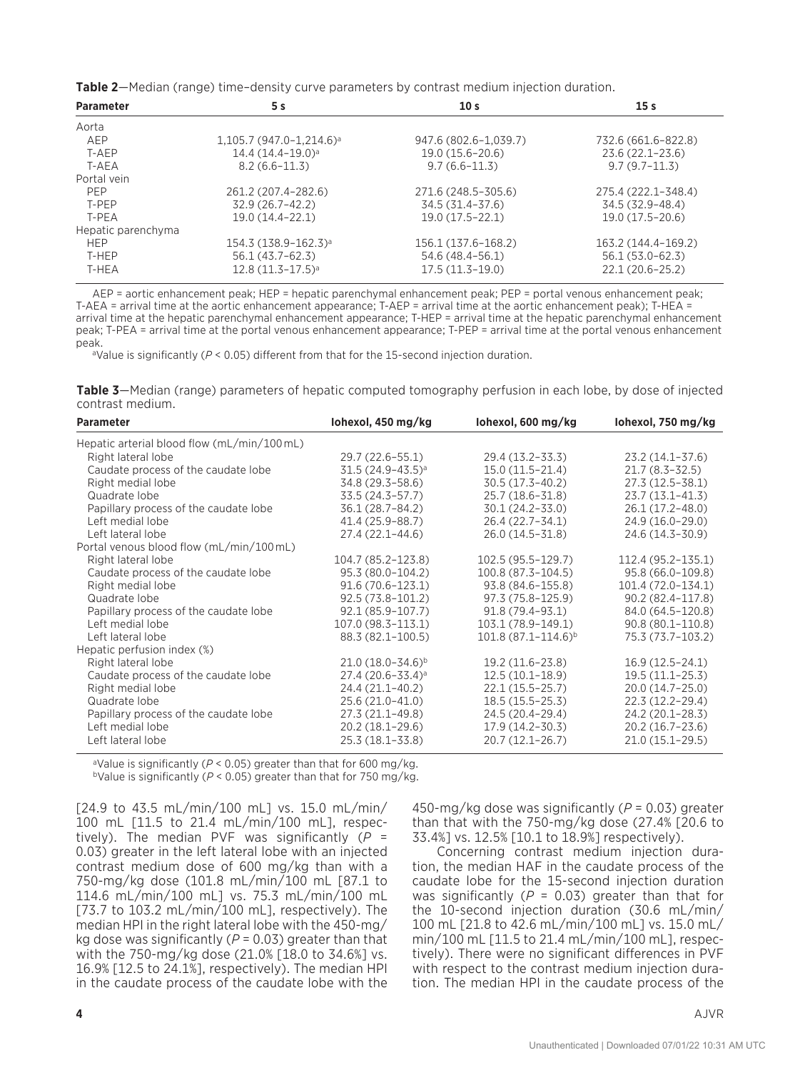**Table 2**—Median (range) time–density curve parameters by contrast medium injection duration.

| <b>Parameter</b>   | 5 s                                   | 10 <sub>s</sub>       | 15 <sub>s</sub>     |
|--------------------|---------------------------------------|-----------------------|---------------------|
| Aorta              |                                       |                       |                     |
| AEP                | $1,105.7(947.0-1,214.6)$ <sup>a</sup> | 947.6 (802.6-1,039.7) | 732.6 (661.6-822.8) |
| T-AEP              | $14.4(14.4-19.0)$ <sup>a</sup>        | 19.0 (15.6–20.6)      | $23.6(22.1 - 23.6)$ |
| T-AEA              | $8.2(6.6-11.3)$                       | $9.7(6.6 - 11.3)$     | $9.7(9.7-11.3)$     |
| Portal vein        |                                       |                       |                     |
| <b>PFP</b>         | 261.2 (207.4-282.6)                   | 271.6 (248.5-305.6)   | 275.4 (222.1-348.4) |
| T-PEP              | 32.9 (26.7–42.2)                      | 34.5 (31.4–37.6)      | 34.5 (32.9–48.4)    |
| T-PFA              | $19.0(14.4 - 22.1)$                   | $19.0(17.5-22.1)$     | $19.0(17.5-20.6)$   |
| Hepatic parenchyma |                                       |                       |                     |
| <b>HEP</b>         | $154.3 (138.9 - 162.3)^a$             | 156.1 (137.6-168.2)   | 163.2 (144.4-169.2) |
| T-HEP              | $56.1(43.7-62.3)$                     | 54.6 (48.4–56.1)      | $56.1(53.0-62.3)$   |
| T-HEA              | $12.8(11.3-17.5)$ <sup>a</sup>        | $17.5(11.3-19.0)$     | 22.1 (20.6-25.2)    |

AEP = aortic enhancement peak; HEP = hepatic parenchymal enhancement peak; PEP = portal venous enhancement peak; T-AEA = arrival time at the aortic enhancement appearance; T-AEP = arrival time at the aortic enhancement peak); T-HEA = arrival time at the hepatic parenchymal enhancement appearance; T-HEP = arrival time at the hepatic parenchymal enhancement peak; T-PEA = arrival time at the portal venous enhancement appearance; T-PEP = arrival time at the portal venous enhancement peak.

<sup>a</sup>Value is significantly ( $P < 0.05$ ) different from that for the 15-second injection duration.

|                  | Table 3-Median (range) parameters of hepatic computed tomography perfusion in each lobe, by dose of injected |
|------------------|--------------------------------------------------------------------------------------------------------------|
| contrast medium. |                                                                                                              |

| <b>Parameter</b>                            | lohexol, 450 mg/kg      | lohexol, 600 mg/kg        | lohexol, 750 mg/kg   |
|---------------------------------------------|-------------------------|---------------------------|----------------------|
| Hepatic arterial blood flow (mL/min/100 mL) |                         |                           |                      |
| Right lateral lobe                          | 29.7 (22.6–55.1)        | 29.4 (13.2-33.3)          | $23.2(14.1-37.6)$    |
| Caudate process of the caudate lobe         | $31.5(24.9-43.5)^a$     | $15.0(11.5-21.4)$         | $21.7(8.3 - 32.5)$   |
| Right medial lobe                           | 34.8 (29.3-58.6)        | $30.5(17.3-40.2)$         | 27.3 (12.5-38.1)     |
| Quadrate lobe                               | 33.5 (24.3-57.7)        | 25.7 (18.6-31.8)          | $23.7(13.1 - 41.3)$  |
| Papillary process of the caudate lobe       | 36.1 (28.7-84.2)        | 30.1 (24.2-33.0)          | 26.1 (17.2-48.0)     |
| Left medial lobe                            | 41.4 (25.9-88.7)        | 26.4 (22.7-34.1)          | 24.9 (16.0-29.0)     |
| Left lateral lobe                           | 27.4 (22.1-44.6)        | 26.0 (14.5-31.8)          | 24.6 (14.3-30.9)     |
| Portal venous blood flow (mL/min/100 mL)    |                         |                           |                      |
| Right lateral lobe                          | 104.7 (85.2-123.8)      | 102.5 (95.5-129.7)        | 112.4 (95.2-135.1)   |
| Caudate process of the caudate lobe         | 95.3 (80.0-104.2)       | 100.8 (87.3-104.5)        | 95.8 (66.0-109.8)    |
| Right medial lobe                           | $91.6(70.6 - 123.1)$    | 93.8 (84.6-155.8)         | 101.4 (72.0-134.1)   |
| Quadrate lobe                               | 92.5 (73.8-101.2)       | 97.3 (75.8–125.9)         | 90.2 (82.4-117.8)    |
| Papillary process of the caudate lobe       | 92.1 (85.9-107.7)       | 91.8 (79.4-93.1)          | 84.0 (64.5-120.8)    |
| Left medial lobe                            | 107.0 (98.3-113.1)      | 103.1 (78.9-149.1)        | $90.8(80.1 - 110.8)$ |
| Left lateral lobe                           | 88.3 (82.1-100.5)       | $101.8(87.1 - 114.6)^{b}$ | 75.3 (73.7–103.2)    |
| Hepatic perfusion index (%)                 |                         |                           |                      |
| Right lateral lobe                          | $21.0(18.0 - 34.6)^{b}$ | 19.2 (11.6-23.8)          | $16.9(12.5-24.1)$    |
| Caudate process of the caudate lobe         | $27.4(20.6 - 33.4)^a$   | $12.5(10.1 - 18.9)$       | $19.5(11.1-25.3)$    |
| Right medial lobe                           | 24.4 (21.1-40.2)        | $22.1(15.5-25.7)$         | 20.0 (14.7-25.0)     |
| Quadrate lobe                               | 25.6 (21.0-41.0)        | $18.5(15.5-25.3)$         | 22.3 (12.2-29.4)     |
| Papillary process of the caudate lobe       | 27.3 (21.1-49.8)        | 24.5 (20.4-29.4)          | 24.2 (20.1-28.3)     |
| Left medial lobe                            | 20.2 (18.1-29.6)        | $17.9(14.2 - 30.3)$       | 20.2 (16.7-23.6)     |
| Left lateral lobe                           | 25.3 (18.1-33.8)        | $20.7(12.1 - 26.7)$       | $21.0(15.1-29.5)$    |

<sup>a</sup>Value is significantly (*P* < 0.05) greater than that for 600 mg/kg. bValue is significantly (*P* < 0.05) greater than that for 750 mg/kg.

[24.9 to 43.5 mL/min/100 mL] vs. 15.0 mL/min/ 100 mL [11.5 to 21.4 mL/min/100 mL], respectively). The median PVF was significantly (*P* = 0.03) greater in the left lateral lobe with an injected contrast medium dose of 600 mg/kg than with a 750-mg/kg dose (101.8 mL/min/100 mL [87.1 to 114.6 mL/min/100 mL] vs. 75.3 mL/min/100 mL [73.7 to 103.2 mL/min/100 mL], respectively). The median HPI in the right lateral lobe with the 450-mg/ kg dose was significantly (*P* = 0.03) greater than that with the 750-mg/kg dose (21.0% [18.0 to 34.6%] vs. 16.9% [12.5 to 24.1%], respectively). The median HPI in the caudate process of the caudate lobe with the 450-mg/kg dose was significantly (*P* = 0.03) greater than that with the 750-mg/kg dose (27.4% [20.6 to 33.4%] vs. 12.5% [10.1 to 18.9%] respectively).

Concerning contrast medium injection duration, the median HAF in the caudate process of the caudate lobe for the 15-second injection duration was significantly (*P* = 0.03) greater than that for the 10-second injection duration (30.6 mL/min/ 100 mL [21.8 to 42.6 mL/min/100 mL] vs. 15.0 mL/ min/100 mL [11.5 to 21.4 mL/min/100 mL], respectively). There were no significant differences in PVF with respect to the contrast medium injection duration. The median HPI in the caudate process of the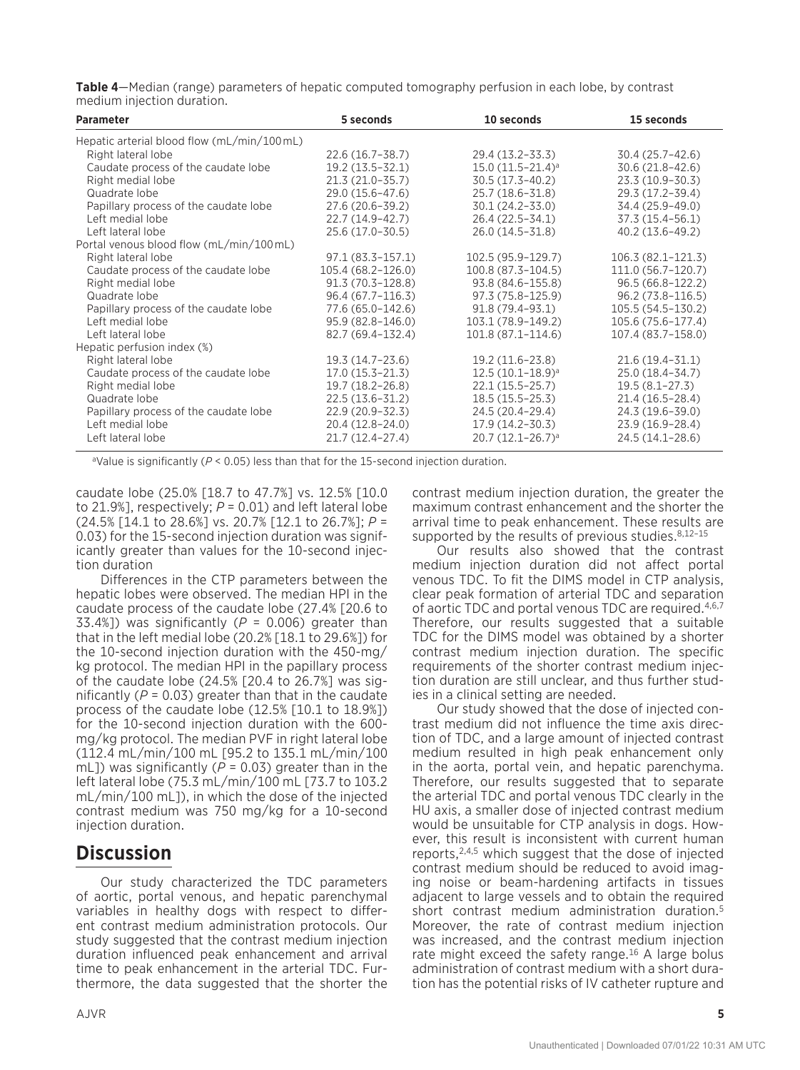**Table 4**—Median (range) parameters of hepatic computed tomography perfusion in each lobe, by contrast medium injection duration.

| <b>Parameter</b>                           | 5 seconds            | 10 seconds                     | 15 seconds          |
|--------------------------------------------|----------------------|--------------------------------|---------------------|
| Hepatic arterial blood flow (mL/min/100mL) |                      |                                |                     |
| Right lateral lobe                         | $22.6(16.7 - 38.7)$  | 29.4 (13.2–33.3)               | $30.4(25.7-42.6)$   |
| Caudate process of the caudate lobe        | $19.2(13.5 - 32.1)$  | $15.0(11.5-21.4)$ <sup>a</sup> | $30.6(21.8-42.6)$   |
| Right medial lobe                          | $21.3(21.0-35.7)$    | $30.5(17.3-40.2)$              | 23.3 (10.9-30.3)    |
| Quadrate lobe                              | 29.0 (15.6-47.6)     | 25.7 (18.6-31.8)               | 29.3 (17.2-39.4)    |
| Papillary process of the caudate lobe      | 27.6 (20.6-39.2)     | $30.1(24.2 - 33.0)$            | 34.4 (25.9-49.0)    |
| Left medial lobe                           | 22.7 (14.9-42.7)     | 26.4 (22.5-34.1)               | 37.3 (15.4-56.1)    |
| Left lateral lobe                          | 25.6 (17.0-30.5)     | 26.0 (14.5-31.8)               | 40.2 (13.6-49.2)    |
| Portal venous blood flow (mL/min/100mL)    |                      |                                |                     |
| Right lateral lobe                         | $97.1(83.3 - 157.1)$ | 102.5 (95.9-129.7)             | $106.3(82.1-121.3)$ |
| Caudate process of the caudate lobe        | 105.4 (68.2-126.0)   | 100.8 (87.3-104.5)             | 111.0 (56.7-120.7)  |
| Right medial lobe                          | $91.3(70.3 - 128.8)$ | 93.8 (84.6-155.8)              | $96.5(66.8-122.2)$  |
| Quadrate lobe                              | 96.4 (67.7-116.3)    | 97.3 (75.8-125.9)              | 96.2 (73.8-116.5)   |
| Papillary process of the caudate lobe      | 77.6 (65.0-142.6)    | 91.8 (79.4-93.1)               | 105.5 (54.5-130.2)  |
| Left medial lobe                           | 95.9 (82.8-146.0)    | 103.1 (78.9-149.2)             | 105.6 (75.6-177.4)  |
| Left lateral lobe                          | 82.7 (69.4-132.4)    | 101.8 (87.1-114.6)             | 107.4 (83.7-158.0)  |
| Hepatic perfusion index (%)                |                      |                                |                     |
| Right lateral lobe                         | 19.3 (14.7–23.6)     | 19.2 (11.6–23.8)               | $21.6(19.4 - 31.1)$ |
| Caudate process of the caudate lobe        | $17.0(15.3 - 21.3)$  | $12.5(10.1-18.9)^a$            | 25.0 (18.4-34.7)    |
| Right medial lobe                          | 19.7 (18.2-26.8)     | $22.1(15.5 - 25.7)$            | $19.5(8.1 - 27.3)$  |
| Quadrate lobe                              | 22.5 (13.6-31.2)     | $18.5(15.5 - 25.3)$            | $21.4(16.5 - 28.4)$ |
| Papillary process of the caudate lobe      | $22.9(20.9 - 32.3)$  | 24.5 (20.4-29.4)               | 24.3 (19.6–39.0)    |
| Left medial lobe                           | 20.4 (12.8–24.0)     | $17.9(14.2 - 30.3)$            | 23.9 (16.9-28.4)    |
| Left lateral lobe                          | $21.7(12.4-27.4)$    | $20.7 (12.1 - 26.7)^a$         | 24.5 (14.1-28.6)    |

<sup>a</sup>Value is significantly ( $P < 0.05$ ) less than that for the 15-second injection duration.

caudate lobe (25.0% [18.7 to 47.7%] vs. 12.5% [10.0 to 21.9%], respectively;  $P = 0.01$ ) and left lateral lobe (24.5% [14.1 to 28.6%] vs. 20.7% [12.1 to 26.7%]; *P* = 0.03) for the 15-second injection duration was significantly greater than values for the 10-second injection duration

Differences in the CTP parameters between the hepatic lobes were observed. The median HPI in the caudate process of the caudate lobe (27.4% [20.6 to 33.4%]) was significantly ( $P = 0.006$ ) greater than that in the left medial lobe (20.2% [18.1 to 29.6%]) for the 10-second injection duration with the 450-mg/ kg protocol. The median HPI in the papillary process of the caudate lobe (24.5% [20.4 to 26.7%] was significantly  $(P = 0.03)$  greater than that in the caudate process of the caudate lobe (12.5% [10.1 to 18.9%]) for the 10-second injection duration with the 600 mg/kg protocol. The median PVF in right lateral lobe (112.4 mL/min/100 mL [95.2 to 135.1 mL/min/100 mL]) was significantly ( $\overline{P}$  = 0.03) greater than in the left lateral lobe (75.3 mL/min/100 mL [73.7 to 103.2 mL/min/100 mL]), in which the dose of the injected contrast medium was 750 mg/kg for a 10-second injection duration.

## **Discussion**

Our study characterized the TDC parameters of aortic, portal venous, and hepatic parenchymal variables in healthy dogs with respect to different contrast medium administration protocols. Our study suggested that the contrast medium injection duration influenced peak enhancement and arrival time to peak enhancement in the arterial TDC. Furthermore, the data suggested that the shorter the contrast medium injection duration, the greater the maximum contrast enhancement and the shorter the arrival time to peak enhancement. These results are supported by the results of previous studies. $8,12-15$ 

Our results also showed that the contrast medium injection duration did not affect portal venous TDC. To fit the DIMS model in CTP analysis, clear peak formation of arterial TDC and separation of aortic TDC and portal venous TDC are required.4,6,7 Therefore, our results suggested that a suitable TDC for the DIMS model was obtained by a shorter contrast medium injection duration. The specific requirements of the shorter contrast medium injection duration are still unclear, and thus further studies in a clinical setting are needed.

Our study showed that the dose of injected contrast medium did not influence the time axis direction of TDC, and a large amount of injected contrast medium resulted in high peak enhancement only in the aorta, portal vein, and hepatic parenchyma. Therefore, our results suggested that to separate the arterial TDC and portal venous TDC clearly in the HU axis, a smaller dose of injected contrast medium would be unsuitable for CTP analysis in dogs. However, this result is inconsistent with current human reports,2,4,5 which suggest that the dose of injected contrast medium should be reduced to avoid imaging noise or beam-hardening artifacts in tissues adjacent to large vessels and to obtain the required short contrast medium administration duration.5 Moreover, the rate of contrast medium injection was increased, and the contrast medium injection rate might exceed the safety range.<sup>16</sup> A large bolus administration of contrast medium with a short duration has the potential risks of IV catheter rupture and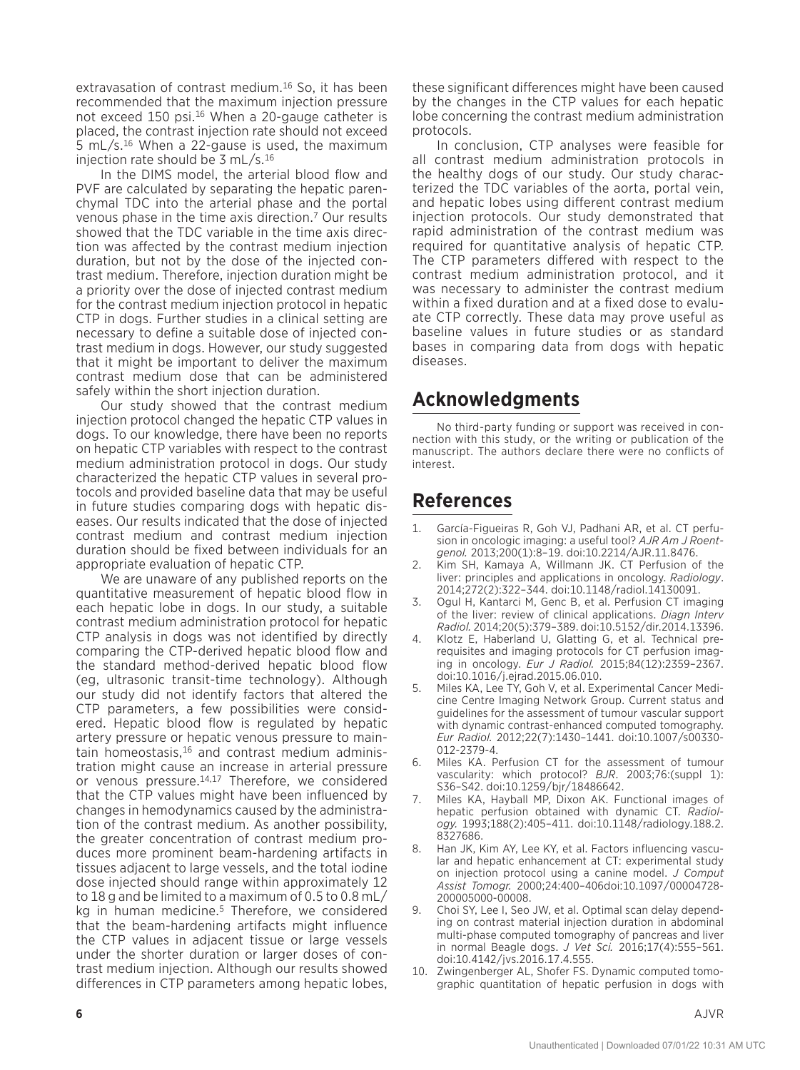extravasation of contrast medium.16 So, it has been recommended that the maximum injection pressure not exceed 150 psi.<sup>16</sup> When a 20-gauge catheter is placed, the contrast injection rate should not exceed 5 mL/s.16 When a 22-gause is used, the maximum injection rate should be 3 mL/s.16

In the DIMS model, the arterial blood flow and PVF are calculated by separating the hepatic parenchymal TDC into the arterial phase and the portal venous phase in the time axis direction.7 Our results showed that the TDC variable in the time axis direction was affected by the contrast medium injection duration, but not by the dose of the injected contrast medium. Therefore, injection duration might be a priority over the dose of injected contrast medium for the contrast medium injection protocol in hepatic CTP in dogs. Further studies in a clinical setting are necessary to define a suitable dose of injected contrast medium in dogs. However, our study suggested that it might be important to deliver the maximum contrast medium dose that can be administered safely within the short injection duration.

Our study showed that the contrast medium injection protocol changed the hepatic CTP values in dogs. To our knowledge, there have been no reports on hepatic CTP variables with respect to the contrast medium administration protocol in dogs. Our study characterized the hepatic CTP values in several protocols and provided baseline data that may be useful in future studies comparing dogs with hepatic diseases. Our results indicated that the dose of injected contrast medium and contrast medium injection duration should be fixed between individuals for an appropriate evaluation of hepatic CTP.

We are unaware of any published reports on the quantitative measurement of hepatic blood flow in each hepatic lobe in dogs. In our study, a suitable contrast medium administration protocol for hepatic CTP analysis in dogs was not identified by directly comparing the CTP-derived hepatic blood flow and the standard method-derived hepatic blood flow (eg, ultrasonic transit-time technology). Although our study did not identify factors that altered the CTP parameters, a few possibilities were considered. Hepatic blood flow is regulated by hepatic artery pressure or hepatic venous pressure to maintain homeostasis,16 and contrast medium administration might cause an increase in arterial pressure or venous pressure.14,17 Therefore, we considered that the CTP values might have been influenced by changes in hemodynamics caused by the administration of the contrast medium. As another possibility, the greater concentration of contrast medium produces more prominent beam-hardening artifacts in tissues adjacent to large vessels, and the total iodine dose injected should range within approximately 12 to 18 g and be limited to a maximum of 0.5 to 0.8 mL/ kg in human medicine.<sup>5</sup> Therefore, we considered that the beam-hardening artifacts might influence the CTP values in adjacent tissue or large vessels under the shorter duration or larger doses of contrast medium injection. Although our results showed differences in CTP parameters among hepatic lobes,

these significant differences might have been caused by the changes in the CTP values for each hepatic lobe concerning the contrast medium administration protocols.

In conclusion, CTP analyses were feasible for all contrast medium administration protocols in the healthy dogs of our study. Our study characterized the TDC variables of the aorta, portal vein, and hepatic lobes using different contrast medium injection protocols. Our study demonstrated that rapid administration of the contrast medium was required for quantitative analysis of hepatic CTP. The CTP parameters differed with respect to the contrast medium administration protocol, and it was necessary to administer the contrast medium within a fixed duration and at a fixed dose to evaluate CTP correctly. These data may prove useful as baseline values in future studies or as standard bases in comparing data from dogs with hepatic diseases.

# **Acknowledgments**

No third-party funding or support was received in connection with this study, or the writing or publication of the manuscript. The authors declare there were no conflicts of interest.

# **References**

- 1. García-Figueiras R, Goh VJ, Padhani AR, et al. CT perfusion in oncologic imaging: a useful tool? *AJR Am J Roentgenol.* 2013;200(1):8–19. doi:10.2214/AJR.11.8476.
- 2. Kim SH, Kamaya A, Willmann JK. CT Perfusion of the liver: principles and applications in oncology. *Radiology*. 2014;272(2):322–344. doi:10.1148/radiol.14130091.
- 3. Ogul H, Kantarci M, Genc B, et al. Perfusion CT imaging of the liver: review of clinical applications. *Diagn Interv Radiol.* 2014;20(5):379–389. doi:10.5152/dir.2014.13396.
- 4. Klotz E, Haberland U, Glatting G, et al. Technical prerequisites and imaging protocols for CT perfusion imaging in oncology. *Eur J Radiol.* 2015;84(12):2359–2367. doi:10.1016/j.ejrad.2015.06.010.
- 5. Miles KA, Lee TY, Goh V, et al. Experimental Cancer Medicine Centre Imaging Network Group. Current status and guidelines for the assessment of tumour vascular support with dynamic contrast-enhanced computed tomography. *Eur Radiol.* 2012;22(7):1430–1441. doi:10.1007/s00330- 012-2379-4.
- Miles KA. Perfusion CT for the assessment of tumour vascularity: which protocol? *BJR*. 2003;76:(suppl 1): S36–S42. doi:10.1259/bjr/18486642.
- 7. Miles KA, Hayball MP, Dixon AK. Functional images of hepatic perfusion obtained with dynamic CT. *Radiology.* 1993;188(2):405–411. doi:10.1148/radiology.188.2. 8327686.
- 8. Han JK, Kim AY, Lee KY, et al. Factors influencing vascular and hepatic enhancement at CT: experimental study on injection protocol using a canine model. *J Comput Assist Tomogr.* 2000;24:400–406doi:10.1097/00004728- 200005000-00008.
- 9. Choi SY, Lee I, Seo JW, et al. Optimal scan delay depending on contrast material injection duration in abdominal multi-phase computed tomography of pancreas and liver in normal Beagle dogs. *J Vet Sci.* 2016;17(4):555–561. doi:10.4142/jvs.2016.17.4.555.
- 10. Zwingenberger AL, Shofer FS. Dynamic computed tomographic quantitation of hepatic perfusion in dogs with